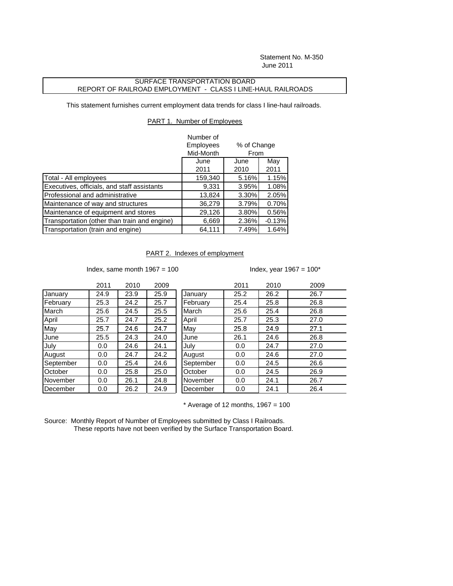Statement No. M-350 June 2011

## SURFACE TRANSPORTATION BOARD REPORT OF RAILROAD EMPLOYMENT - CLASS I LINE-HAUL RAILROADS

This statement furnishes current employment data trends for class I line-haul railroads.

## PART 1. Number of Employees

|                                              | Number of |                     |          |
|----------------------------------------------|-----------|---------------------|----------|
|                                              | Employees | % of Change<br>From |          |
|                                              | Mid-Month |                     |          |
|                                              | June      | June                | May      |
|                                              | 2011      | 2010                | 2011     |
| Total - All employees                        | 159,340   | 5.16%               | 1.15%    |
| Executives, officials, and staff assistants  | 9,331     | 3.95%               | 1.08%    |
| Professional and administrative              | 13,824    | 3.30%               | 2.05%    |
| Maintenance of way and structures            | 36,279    | 3.79%               | 0.70%    |
| Maintenance of equipment and stores          | 29,126    | 3.80%               | 0.56%    |
| Transportation (other than train and engine) | 6,669     | 2.36%               | $-0.13%$ |
| Transportation (train and engine)            | 64,111    | 7.49%               | 1.64%    |

## PART 2. Indexes of employment

Index, same month  $1967 = 100$  Index, year  $1967 = 100^*$ 

|           | 2011 | 2010 | 2009 |           | 2011 | 2010 | 2009 |
|-----------|------|------|------|-----------|------|------|------|
| January   | 24.9 | 23.9 | 25.9 | January   | 25.2 | 26.2 | 26.7 |
| February  | 25.3 | 24.2 | 25.7 | February  | 25.4 | 25.8 | 26.8 |
| March     | 25.6 | 24.5 | 25.5 | March     | 25.6 | 25.4 | 26.8 |
| April     | 25.7 | 24.7 | 25.2 | April     | 25.7 | 25.3 | 27.0 |
| May       | 25.7 | 24.6 | 24.7 | May       | 25.8 | 24.9 | 27.1 |
| June      | 25.5 | 24.3 | 24.0 | June      | 26.1 | 24.6 | 26.8 |
| July      | 0.0  | 24.6 | 24.1 | July      | 0.0  | 24.7 | 27.0 |
| August    | 0.0  | 24.7 | 24.2 | August    | 0.0  | 24.6 | 27.0 |
| September | 0.0  | 25.4 | 24.6 | September | 0.0  | 24.5 | 26.6 |
| October   | 0.0  | 25.8 | 25.0 | October   | 0.0  | 24.5 | 26.9 |
| November  | 0.0  | 26.1 | 24.8 | November  | 0.0  | 24.1 | 26.7 |
| December  | 0.0  | 26.2 | 24.9 | December  | 0.0  | 24.1 | 26.4 |

 $*$  Average of 12 months, 1967 = 100

Source: Monthly Report of Number of Employees submitted by Class I Railroads. These reports have not been verified by the Surface Transportation Board.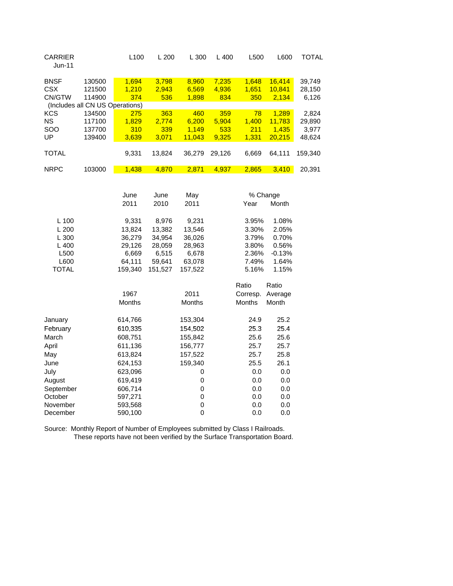| <b>CARRIER</b><br>Jun-11                                        |                                                                         | L100                                                                              | L200                                                                              | L 300                                                                            | L400                         | L500                                                                            | L600                                                                    | <b>TOTAL</b>                       |
|-----------------------------------------------------------------|-------------------------------------------------------------------------|-----------------------------------------------------------------------------------|-----------------------------------------------------------------------------------|----------------------------------------------------------------------------------|------------------------------|---------------------------------------------------------------------------------|-------------------------------------------------------------------------|------------------------------------|
| <b>BNSF</b><br><b>CSX</b><br>CN/GTW                             | 130500<br>121500<br>114900                                              | 1,694<br>1,210<br>374                                                             | 3,798<br>2,943<br>536                                                             | 8,960<br>6,569<br>1,898                                                          | 7,235<br>4,936<br>834        | 1,648<br>1,651<br>350                                                           | 16,414<br>10,841<br>2,134                                               | 39,749<br>28,150<br>6,126          |
| <b>KCS</b><br><b>NS</b><br>SOO<br>UP                            | (Includes all CN US Operations)<br>134500<br>117100<br>137700<br>139400 | 275<br>1,829<br>310<br>3,639                                                      | 363<br>2,774<br>339<br>3,071                                                      | 460<br>6,200<br>1,149<br>11,043                                                  | 359<br>5,904<br>533<br>9,325 | 78<br>1,400<br>211<br>1,331                                                     | 1,289<br>11,783<br>1,435<br>20,215                                      | 2,824<br>29,890<br>3,977<br>48,624 |
| <b>TOTAL</b>                                                    |                                                                         | 9,331                                                                             | 13,824                                                                            | 36,279                                                                           | 29,126                       | 6,669                                                                           | 64,111                                                                  | 159,340                            |
| <b>NRPC</b>                                                     | 103000                                                                  | 1,438                                                                             | 4,870                                                                             | 2,871                                                                            | 4,937                        | 2,865                                                                           | 3,410                                                                   | 20,391                             |
| L 100<br>L200<br>L 300<br>L 400<br>L500<br>L600<br><b>TOTAL</b> |                                                                         | June<br>2011<br>9,331<br>13,824<br>36,279<br>29,126<br>6,669<br>64,111<br>159,340 | June<br>2010<br>8,976<br>13,382<br>34,954<br>28,059<br>6,515<br>59,641<br>151,527 | May<br>2011<br>9,231<br>13,546<br>36,026<br>28,963<br>6,678<br>63,078<br>157,522 |                              | % Change<br>Year<br>3.95%<br>3.30%<br>3.79%<br>3.80%<br>2.36%<br>7.49%<br>5.16% | Month<br>1.08%<br>2.05%<br>0.70%<br>0.56%<br>$-0.13%$<br>1.64%<br>1.15% |                                    |
|                                                                 |                                                                         | 1967<br>Months                                                                    |                                                                                   | 2011<br>Months                                                                   |                              | Ratio<br>Corresp.<br>Months                                                     | Ratio<br>Average<br>Month                                               |                                    |
| January<br>February<br>March<br>April<br>Max                    |                                                                         | 614,766<br>610,335<br>608,751<br>611,136<br>613.821                               |                                                                                   | 153,304<br>154,502<br>155,842<br>156,777<br>157522                               |                              | 24.9<br>25.3<br>25.6<br>25.7<br>257                                             | 25.2<br>25.4<br>25.6<br>25.7<br>ጋ5 Ջ                                    |                                    |

| April     | 611,136 | 156,777 | 25.7 | 25.7 |
|-----------|---------|---------|------|------|
| May       | 613,824 | 157,522 | 25.7 | 25.8 |
| June      | 624,153 | 159,340 | 25.5 | 26.1 |
| July      | 623,096 | 0       | 0.0  | 0.0  |
| August    | 619,419 | 0       | 0.0  | 0.0  |
| September | 606,714 | 0       | 0.0  | 0.0  |
| October   | 597,271 | 0       | 0.0  | 0.0  |
| November  | 593,568 | 0       | 0.0  | 0.0  |
| December  | 590,100 | 0       | 0.0  | 0.0  |

Source: Monthly Report of Number of Employees submitted by Class I Railroads. These reports have not been verified by the Surface Transportation Board.